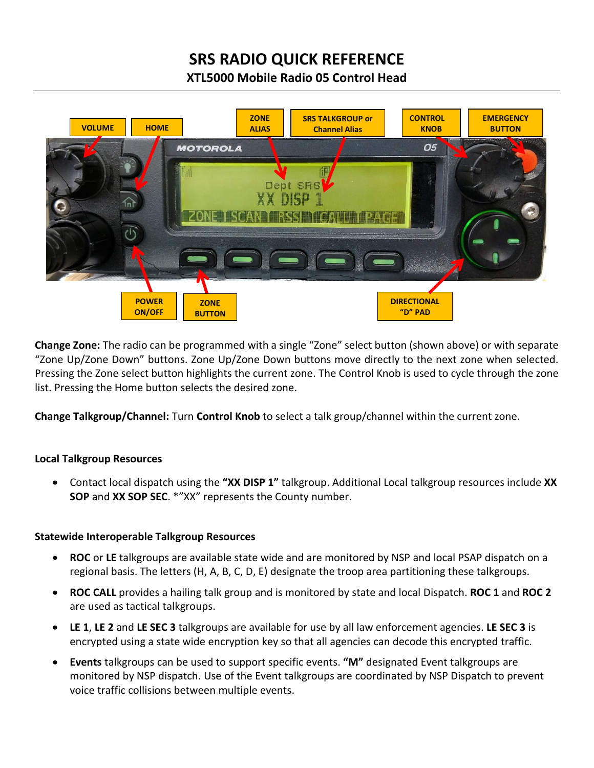# **SRS RADIO QUICK REFERENCE**

**XTL5000 Mobile Radio 05 Control Head**



**Change Zone:** The radio can be programmed with a single "Zone" select button (shown above) or with separate "Zone Up/Zone Down" buttons. Zone Up/Zone Down buttons move directly to the next zone when selected. Pressing the Zone select button highlights the current zone. The Control Knob is used to cycle through the zone list. Pressing the Home button selects the desired zone.

**Change Talkgroup/Channel:** Turn **Control Knob** to select a talk group/channel within the current zone.

# **Local Talkgroup Resources**

 Contact local dispatch using the **"XX DISP 1"** talkgroup. Additional Local talkgroup resources include **XX SOP** and **XX SOP SEC**. \*"XX" represents the County number.

# **Statewide Interoperable Talkgroup Resources**

- **ROC** or **LE** talkgroups are available state wide and are monitored by NSP and local PSAP dispatch on a regional basis. The letters (H, A, B, C, D, E) designate the troop area partitioning these talkgroups.
- **ROC CALL** provides a hailing talk group and is monitored by state and local Dispatch. **ROC 1** and **ROC 2** are used as tactical talkgroups.
- **LE 1**, **LE 2** and **LE SEC 3** talkgroups are available for use by all law enforcement agencies. **LE SEC 3** is encrypted using a state wide encryption key so that all agencies can decode this encrypted traffic.
- **Events** talkgroups can be used to support specific events. **"M"** designated Event talkgroups are monitored by NSP dispatch. Use of the Event talkgroups are coordinated by NSP Dispatch to prevent voice traffic collisions between multiple events.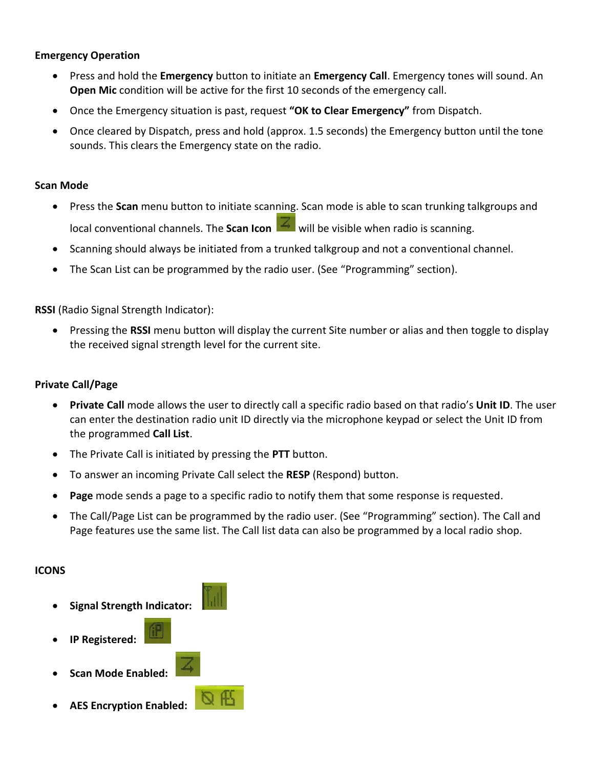## **Emergency Operation**

- Press and hold the **Emergency** button to initiate an **Emergency Call**. Emergency tones will sound. An **Open Mic** condition will be active for the first 10 seconds of the emergency call.
- Once the Emergency situation is past, request **"OK to Clear Emergency"** from Dispatch.
- Once cleared by Dispatch, press and hold (approx. 1.5 seconds) the Emergency button until the tone sounds. This clears the Emergency state on the radio.

## **Scan Mode**

- Press the **Scan** menu button to initiate scanning. Scan mode is able to scan trunking talkgroups and local conventional channels. The **Scan Icon will be visible when radio is scanning.**
- Scanning should always be initiated from a trunked talkgroup and not a conventional channel.
- The Scan List can be programmed by the radio user. (See "Programming" section).

## **RSSI** (Radio Signal Strength Indicator):

 Pressing the **RSSI** menu button will display the current Site number or alias and then toggle to display the received signal strength level for the current site.

## **Private Call/Page**

- **Private Call** mode allows the user to directly call a specific radio based on that radio's **Unit ID**. The user can enter the destination radio unit ID directly via the microphone keypad or select the Unit ID from the programmed **Call List**.
- The Private Call is initiated by pressing the **PTT** button.
- To answer an incoming Private Call select the **RESP** (Respond) button.
- **Page** mode sends a page to a specific radio to notify them that some response is requested.
- The Call/Page List can be programmed by the radio user. (See "Programming" section). The Call and Page features use the same list. The Call list data can also be programmed by a local radio shop.

## **ICONS**

- **Signal Strength Indicator:** 
	- **IP Registered:**
- **Scan Mode Enabled:**
- **AES Encryption Enabled:**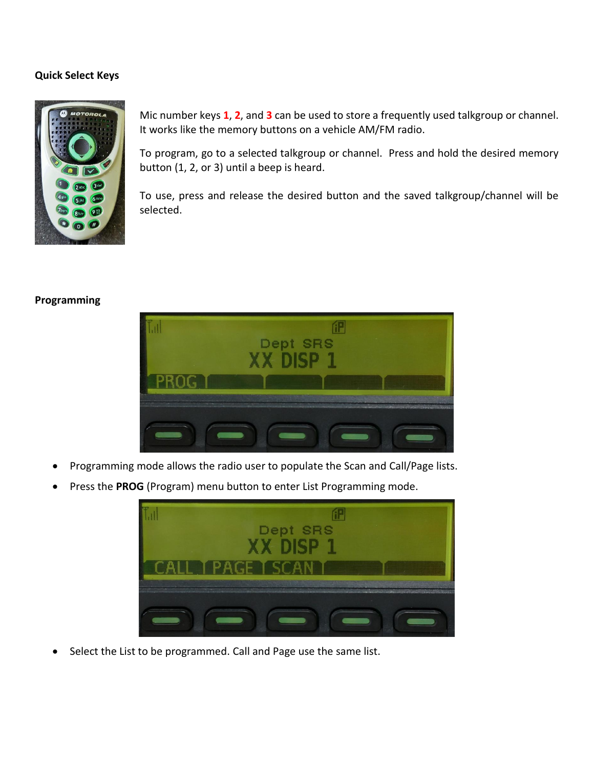## **Quick Select Keys**



Mic number keys **1**, **2**, and **3** can be used to store a frequently used talkgroup or channel. It works like the memory buttons on a vehicle AM/FM radio.

To program, go to a selected talkgroup or channel. Press and hold the desired memory button (1, 2, or 3) until a beep is heard.

To use, press and release the desired button and the saved talkgroup/channel will be selected.

## **Programming**



- Programming mode allows the radio user to populate the Scan and Call/Page lists.
- Press the **PROG** (Program) menu button to enter List Programming mode.



Select the List to be programmed. Call and Page use the same list.